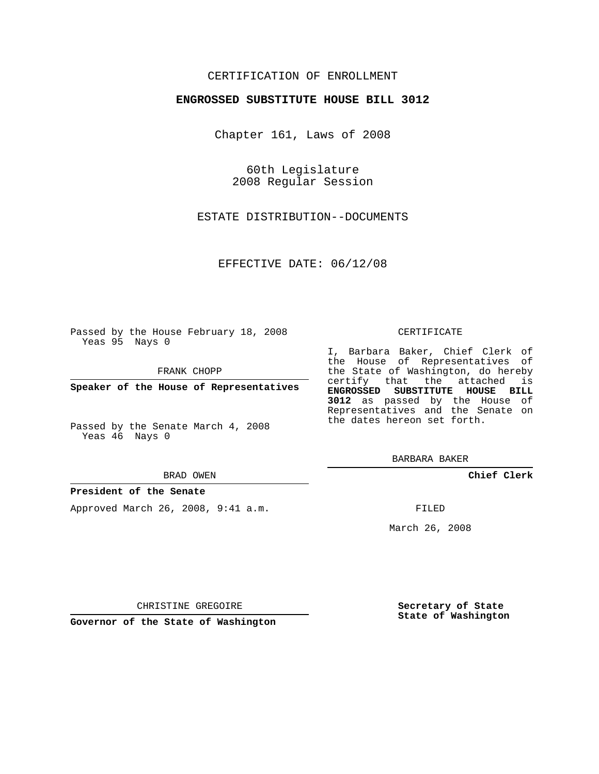## CERTIFICATION OF ENROLLMENT

### **ENGROSSED SUBSTITUTE HOUSE BILL 3012**

Chapter 161, Laws of 2008

60th Legislature 2008 Regular Session

ESTATE DISTRIBUTION--DOCUMENTS

EFFECTIVE DATE: 06/12/08

Passed by the House February 18, 2008 Yeas 95 Nays 0

FRANK CHOPP

**Speaker of the House of Representatives**

Passed by the Senate March 4, 2008 Yeas 46 Nays 0

#### BRAD OWEN

## **President of the Senate**

Approved March 26, 2008, 9:41 a.m.

### CERTIFICATE

I, Barbara Baker, Chief Clerk of the House of Representatives of the State of Washington, do hereby certify that the attached is **ENGROSSED SUBSTITUTE HOUSE BILL 3012** as passed by the House of Representatives and the Senate on the dates hereon set forth.

BARBARA BAKER

**Chief Clerk**

FILED

March 26, 2008

CHRISTINE GREGOIRE

**Governor of the State of Washington**

**Secretary of State State of Washington**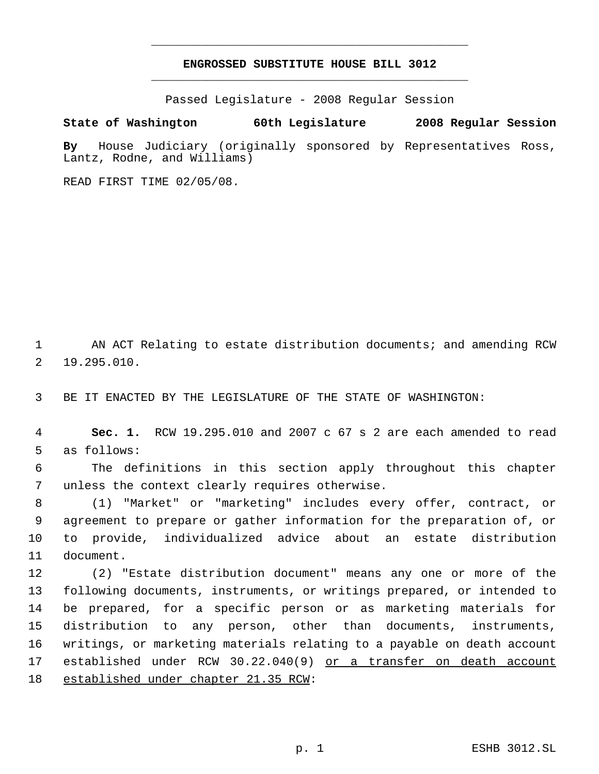# **ENGROSSED SUBSTITUTE HOUSE BILL 3012** \_\_\_\_\_\_\_\_\_\_\_\_\_\_\_\_\_\_\_\_\_\_\_\_\_\_\_\_\_\_\_\_\_\_\_\_\_\_\_\_\_\_\_\_\_

\_\_\_\_\_\_\_\_\_\_\_\_\_\_\_\_\_\_\_\_\_\_\_\_\_\_\_\_\_\_\_\_\_\_\_\_\_\_\_\_\_\_\_\_\_

Passed Legislature - 2008 Regular Session

**State of Washington 60th Legislature 2008 Regular Session**

**By** House Judiciary (originally sponsored by Representatives Ross, Lantz, Rodne, and Williams)

READ FIRST TIME 02/05/08.

 AN ACT Relating to estate distribution documents; and amending RCW 19.295.010.

BE IT ENACTED BY THE LEGISLATURE OF THE STATE OF WASHINGTON:

 **Sec. 1.** RCW 19.295.010 and 2007 c 67 s 2 are each amended to read as follows:

 The definitions in this section apply throughout this chapter unless the context clearly requires otherwise.

 (1) "Market" or "marketing" includes every offer, contract, or agreement to prepare or gather information for the preparation of, or to provide, individualized advice about an estate distribution document.

 (2) "Estate distribution document" means any one or more of the following documents, instruments, or writings prepared, or intended to be prepared, for a specific person or as marketing materials for distribution to any person, other than documents, instruments, writings, or marketing materials relating to a payable on death account established under RCW 30.22.040(9) or a transfer on death account established under chapter 21.35 RCW: